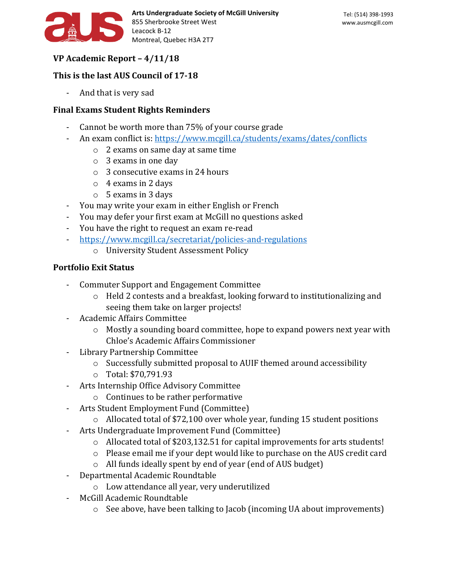

# **VP Academic Report – 4/11/18**

### **This is the last AUS Council of 17-18**

- And that is very sad

### **Final Exams Student Rights Reminders**

- Cannot be worth more than 75% of your course grade
- An exam conflict is:<https://www.mcgill.ca/students/exams/dates/conflicts>
	- o 2 exams on same day at same time
	- o 3 exams in one day
	- o 3 consecutive exams in 24 hours
	- $\circ$  4 exams in 2 days
	- o 5 exams in 3 days
- You may write your exam in either English or French
- You may defer your first exam at McGill no questions asked
- You have the right to request an exam re-read
- <https://www.mcgill.ca/secretariat/policies-and-regulations>
	- o University Student Assessment Policy

## **Portfolio Exit Status**

- Commuter Support and Engagement Committee
	- o Held 2 contests and a breakfast, looking forward to institutionalizing and seeing them take on larger projects!
- Academic Affairs Committee
	- o Mostly a sounding board committee, hope to expand powers next year with Chloe's Academic Affairs Commissioner
- Library Partnership Committee
	- o Successfully submitted proposal to AUIF themed around accessibility
	- o Total: \$70,791.93
- Arts Internship Office Advisory Committee
	- o Continues to be rather performative
- Arts Student Employment Fund (Committee)
	- o Allocated total of \$72,100 over whole year, funding 15 student positions
- Arts Undergraduate Improvement Fund (Committee)
	- o Allocated total of \$203,132.51 for capital improvements for arts students!
	- o Please email me if your dept would like to purchase on the AUS credit card
	- o All funds ideally spent by end of year (end of AUS budget)
- Departmental Academic Roundtable
	- o Low attendance all year, very underutilized
- McGill Academic Roundtable
	- o See above, have been talking to Jacob (incoming UA about improvements)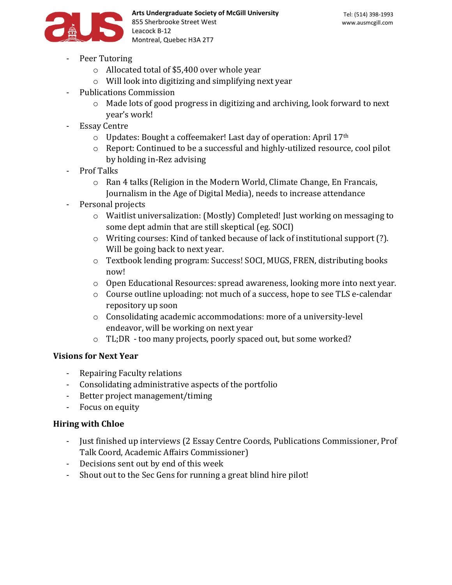

- Peer Tutoring
	- o Allocated total of \$5,400 over whole year
	- o Will look into digitizing and simplifying next year
- Publications Commission
	- $\circ$  Made lots of good progress in digitizing and archiving, look forward to next year's work!
- **Essay Centre** 
	- $\circ$  Updates: Bought a coffeemaker! Last day of operation: April 17<sup>th</sup>
	- o Report: Continued to be a successful and highly-utilized resource, cool pilot by holding in-Rez advising
- Prof Talks
	- o Ran 4 talks (Religion in the Modern World, Climate Change, En Francais, Journalism in the Age of Digital Media), needs to increase attendance
- Personal projects
	- o Waitlist universalization: (Mostly) Completed! Just working on messaging to some dept admin that are still skeptical (eg. SOCI)
	- o Writing courses: Kind of tanked because of lack of institutional support (?). Will be going back to next year.
	- o Textbook lending program: Success! SOCI, MUGS, FREN, distributing books now!
	- o Open Educational Resources: spread awareness, looking more into next year.
	- o Course outline uploading: not much of a success, hope to see TLS e-calendar repository up soon
	- o Consolidating academic accommodations: more of a university-level endeavor, will be working on next year
	- o TL;DR too many projects, poorly spaced out, but some worked?

### **Visions for Next Year**

- Repairing Faculty relations
- Consolidating administrative aspects of the portfolio
- Better project management/timing
- Focus on equity

### **Hiring with Chloe**

- Just finished up interviews (2 Essay Centre Coords, Publications Commissioner, Prof Talk Coord, Academic Affairs Commissioner)
- Decisions sent out by end of this week
- Shout out to the Sec Gens for running a great blind hire pilot!